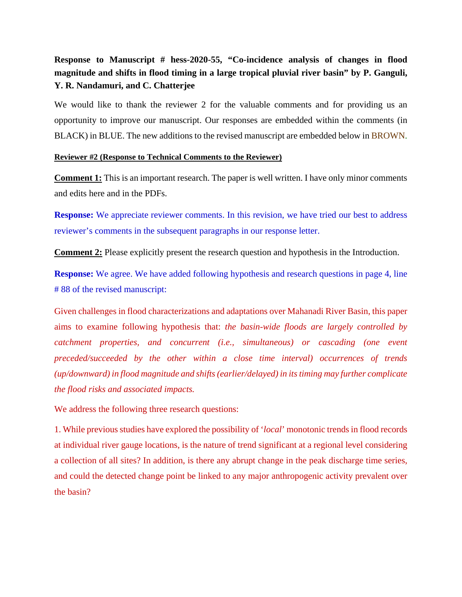## **Response to Manuscript # hess-2020-55, "Co-incidence analysis of changes in flood magnitude and shifts in flood timing in a large tropical pluvial river basin" by P. Ganguli, Y. R. Nandamuri, and C. Chatterjee**

We would like to thank the reviewer 2 for the valuable comments and for providing us an opportunity to improve our manuscript. Our responses are embedded within the comments (in BLACK) in BLUE. The new additions to the revised manuscript are embedded below in BROWN.

## **Reviewer #2 (Response to Technical Comments to the Reviewer)**

**Comment 1:** This is an important research. The paper is well written. I have only minor comments and edits here and in the PDFs.

**Response:** We appreciate reviewer comments. In this revision, we have tried our best to address reviewer's comments in the subsequent paragraphs in our response letter.

**Comment 2:** Please explicitly present the research question and hypothesis in the Introduction.

**Response:** We agree. We have added following hypothesis and research questions in page 4, line # 88 of the revised manuscript:

Given challenges in flood characterizations and adaptations over Mahanadi River Basin, this paper aims to examine following hypothesis that: *the basin-wide floods are largely controlled by catchment properties, and concurrent (i.e., simultaneous) or cascading (one event preceded/succeeded by the other within a close time interval) occurrences of trends (up/downward) in flood magnitude and shifts(earlier/delayed) in its timing may further complicate the flood risks and associated impacts.*

We address the following three research questions:

1. While previous studies have explored the possibility of '*local*' monotonic trends in flood records at individual river gauge locations, is the nature of trend significant at a regional level considering a collection of all sites? In addition, is there any abrupt change in the peak discharge time series, and could the detected change point be linked to any major anthropogenic activity prevalent over the basin?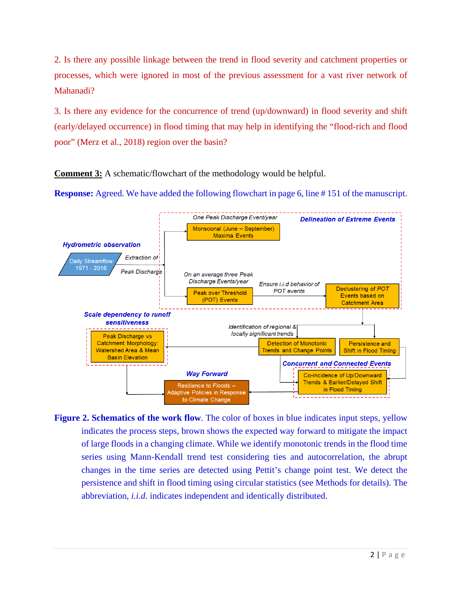2. Is there any possible linkage between the trend in flood severity and catchment properties or processes, which were ignored in most of the previous assessment for a vast river network of Mahanadi?

3. Is there any evidence for the concurrence of trend (up/downward) in flood severity and shift (early/delayed occurrence) in flood timing that may help in identifying the "flood-rich and flood poor" (Merz et al., 2018) region over the basin?

**Comment 3:** A schematic/flowchart of the methodology would be helpful.

**Response:** Agreed. We have added the following flowchart in page 6, line #151 of the manuscript.



Figure 2. Schematics of the work flow. The color of boxes in blue indicates input steps, yellow indicates the process steps, brown shows the expected way forward to mitigate the impact of large floods in a changing climate. While we identify monotonic trends in the flood time series using Mann-Kendall trend test considering ties and autocorrelation, the abrupt changes in the time series are detected using Pettit's change point test. We detect the persistence and shift in flood timing using circular statistics (see Methods for details). The abbreviation, *i.i.d.* indicates independent and identically distributed.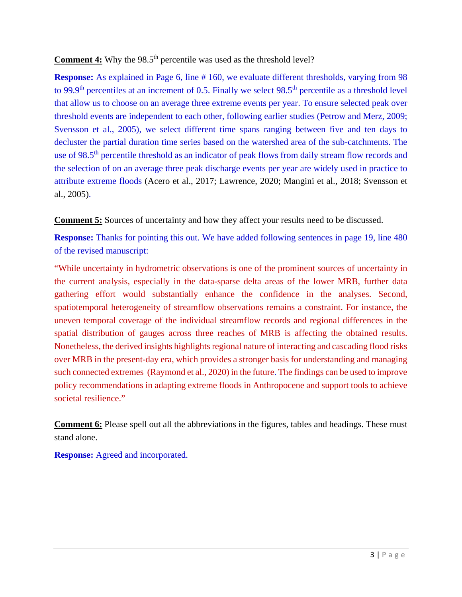**Comment 4:** Why the 98.5<sup>th</sup> percentile was used as the threshold level?

**Response:** As explained in Page 6, line # 160, we evaluate different thresholds, varying from 98 to 99.9<sup>th</sup> percentiles at an increment of 0.5. Finally we select 98.5<sup>th</sup> percentile as a threshold level that allow us to choose on an average three extreme events per year. To ensure selected peak over threshold events are independent to each other, following earlier studies (Petrow and Merz, 2009; Svensson et al., 2005), we select different time spans ranging between five and ten days to decluster the partial duration time series based on the watershed area of the sub-catchments. The use of 98.5<sup>th</sup> percentile threshold as an indicator of peak flows from daily stream flow records and the selection of on an average three peak discharge events per year are widely used in practice to attribute extreme floods (Acero et al., 2017; Lawrence, 2020; Mangini et al., 2018; Svensson et al., 2005).

**Comment 5:** Sources of uncertainty and how they affect your results need to be discussed.

**Response:** Thanks for pointing this out. We have added following sentences in page 19, line 480 of the revised manuscript:

"While uncertainty in hydrometric observations is one of the prominent sources of uncertainty in the current analysis, especially in the data-sparse delta areas of the lower MRB, further data gathering effort would substantially enhance the confidence in the analyses. Second, spatiotemporal heterogeneity of streamflow observations remains a constraint. For instance, the uneven temporal coverage of the individual streamflow records and regional differences in the spatial distribution of gauges across three reaches of MRB is affecting the obtained results. Nonetheless, the derived insights highlights regional nature of interacting and cascading flood risks over MRB in the present-day era, which provides a stronger basis for understanding and managing such connected extremes (Raymond et al., 2020) in the future. The findings can be used to improve policy recommendations in adapting extreme floods in Anthropocene and support tools to achieve societal resilience."

**Comment 6:** Please spell out all the abbreviations in the figures, tables and headings. These must stand alone.

**Response:** Agreed and incorporated.